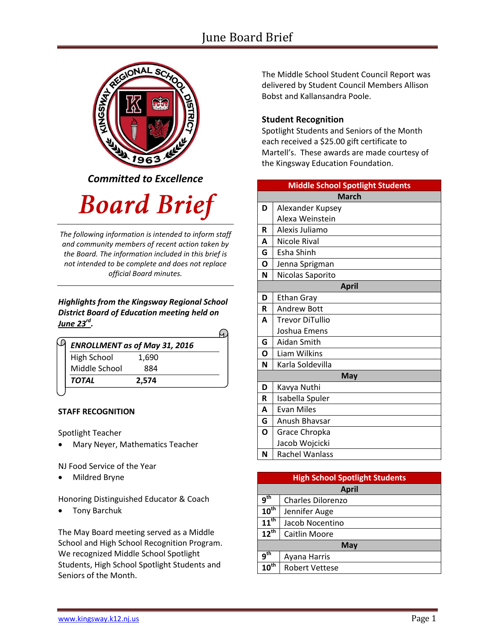## June Board Brief



*Committed to Excellence*

# **Board Brief**

*The following information is intended to inform staff and community members of recent action taken by the Board. The information included in this brief is not intended to be complete and does not replace official Board minutes.*

### *Highlights from the Kingsway Regional School District Board of Education meeting held on June 23rd .*

|               | <b>ENROLLMENT as of May 31, 2016</b> |
|---------------|--------------------------------------|
| High School   | 1,690                                |
| Middle School | 884                                  |
| <b>TOTAL</b>  | 2,574                                |

### **STAFF RECOGNITION**

Spotlight Teacher

Mary Neyer, Mathematics Teacher

NJ Food Service of the Year

Mildred Bryne

Honoring Distinguished Educator & Coach

Tony Barchuk

The May Board meeting served as a Middle School and High School Recognition Program. We recognized Middle School Spotlight Students, High School Spotlight Students and Seniors of the Month.

The Middle School Student Council Report was delivered by Student Council Members Allison Bobst and Kallansandra Poole.

### **Student Recognition**

Spotlight Students and Seniors of the Month each received a \$25.00 gift certificate to Martell's. These awards are made courtesy of the Kingsway Education Foundation.

| <b>Middle School Spotlight Students</b> |                        |  |  |
|-----------------------------------------|------------------------|--|--|
| <b>March</b>                            |                        |  |  |
| D                                       | Alexander Kupsey       |  |  |
|                                         | Alexa Weinstein        |  |  |
| R                                       | Alexis Juliamo         |  |  |
| A                                       | Nicole Rival           |  |  |
| G                                       | Esha Shinh             |  |  |
| O                                       | Jenna Sprigman         |  |  |
| N                                       | Nicolas Saporito       |  |  |
| <b>April</b>                            |                        |  |  |
| D                                       | <b>Ethan Gray</b>      |  |  |
| R                                       | <b>Andrew Bott</b>     |  |  |
| A                                       | <b>Trevor DiTullio</b> |  |  |
|                                         | Joshua Emens           |  |  |
| G                                       | Aidan Smith            |  |  |
| Ο                                       | Liam Wilkins           |  |  |
| N                                       | Karla Soldevilla       |  |  |
|                                         | <b>May</b>             |  |  |
| D                                       | Kavya Nuthi            |  |  |
| R                                       | Isabella Spuler        |  |  |
| A                                       | <b>Evan Miles</b>      |  |  |
| G                                       | Anush Bhaysar          |  |  |
| Ο                                       | Grace Chropka          |  |  |
|                                         | Jacob Wojcicki         |  |  |
| N                                       | <b>Rachel Wanlass</b>  |  |  |

| <b>High School Spotlight Students</b> |                       |  |  |
|---------------------------------------|-----------------------|--|--|
| <b>April</b>                          |                       |  |  |
| $g^{\text{th}}$                       | Charles Dilorenzo     |  |  |
| $10^{th}$                             | Jennifer Auge         |  |  |
| $11^{\text{th}}$                      | Jacob Nocentino       |  |  |
| $12^{\text{th}}$                      | Caitlin Moore         |  |  |
| <b>May</b>                            |                       |  |  |
| 9 <sup>th</sup>                       | Ayana Harris          |  |  |
| $10^{\text{th}}$                      | <b>Robert Vettese</b> |  |  |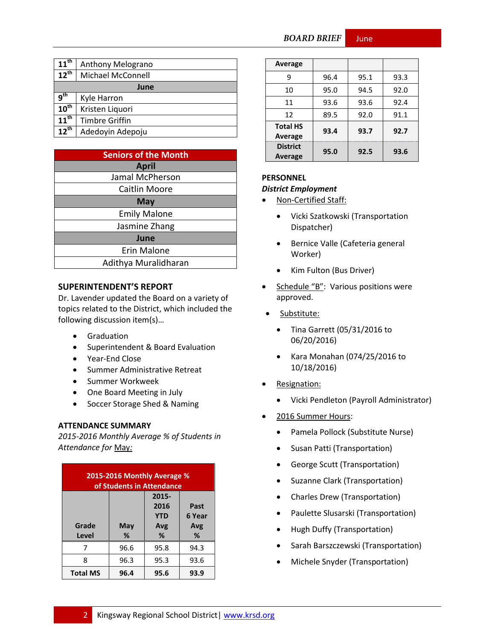| $11^{\sf th}$    | Anthony Melograno     |  |
|------------------|-----------------------|--|
| $12^{\text{th}}$ | Michael McConnell     |  |
| June             |                       |  |
| $9^{\text{th}}$  | Kyle Harron           |  |
| $10^{\text{th}}$ | Kristen Liquori       |  |
| $11^{\text{th}}$ | <b>Timbre Griffin</b> |  |
| $12^{\text{th}}$ | Adedoyin Adepoju      |  |

| <b>Seniors of the Month</b> |  |  |
|-----------------------------|--|--|
| April                       |  |  |
| Jamal McPherson             |  |  |
| Caitlin Moore               |  |  |
| <b>May</b>                  |  |  |
| <b>Emily Malone</b>         |  |  |
| Jasmine Zhang               |  |  |
| June                        |  |  |
| Erin Malone                 |  |  |
| Adithya Muralidharan        |  |  |

### **SUPERINTENDENT'S REPORT**

Dr. Lavender updated the Board on a variety of topics related to the District, which included the following discussion item(s)…

- **•** [Graduation](http://www.krsd.org/domain/51)
- Superintendent & Board Evaluation
- Year-End Close
- **•** Summer Administrative Retreat
- **•** Summer Workweek
- One Board Meeting in July
- **•** Soccer Storage Shed & Naming

### **ATTENDANCE SUMMARY**

*2015-2016 Monthly Average % of Students in Attendance for* May*:*

| 2015-2016 Monthly Average %<br>of Students in Attendance |          |                                         |                            |
|----------------------------------------------------------|----------|-----------------------------------------|----------------------------|
| Grade<br>Level                                           | May<br>% | 2015-<br>2016<br><b>YTD</b><br>Avg<br>% | Past<br>6 Year<br>Avg<br>% |
|                                                          | 96.6     | 95.8                                    | 94.3                       |
| 8                                                        | 96.3     | 95.3                                    | 93.6                       |
| <b>Total MS</b>                                          | 96.4     | 95.6                                    | 93.9                       |

#### **BOARD BRIEF** June

| Average                           |      |      |      |
|-----------------------------------|------|------|------|
| 9                                 | 96.4 | 95.1 | 93.3 |
| 10                                | 95.0 | 94.5 | 92.0 |
| 11                                | 93.6 | 93.6 | 92.4 |
| 12                                | 89.5 | 92.0 | 91.1 |
| <b>Total HS</b><br>Average        | 93.4 | 93.7 | 92.7 |
| <b>District</b><br><b>Average</b> | 95.0 | 92.5 | 93.6 |

### **PERSONNEL**

### *District Employment*

- Non-Certified Staff:
	- Vicki Szatkowski (Transportation Dispatcher)
	- Bernice Valle (Cafeteria general Worker)
	- Kim Fulton (Bus Driver)
- Schedule "B": Various positions were approved.
- Substitute:
	- Tina Garrett (05/31/2016 to 06/20/2016)
	- Kara Monahan (074/25/2016 to 10/18/2016)
- Resignation:
	- Vicki Pendleton (Payroll Administrator)
- 2016 Summer Hours:
	- Pamela Pollock (Substitute Nurse)
	- Susan Patti (Transportation)
	- George Scutt (Transportation)
	- Suzanne Clark (Transportation)
	- Charles Drew (Transportation)
	- Paulette Slusarski (Transportation)
	- Hugh Duffy (Transportation)
	- Sarah Barszczewski (Transportation)
	- Michele Snyder (Transportation)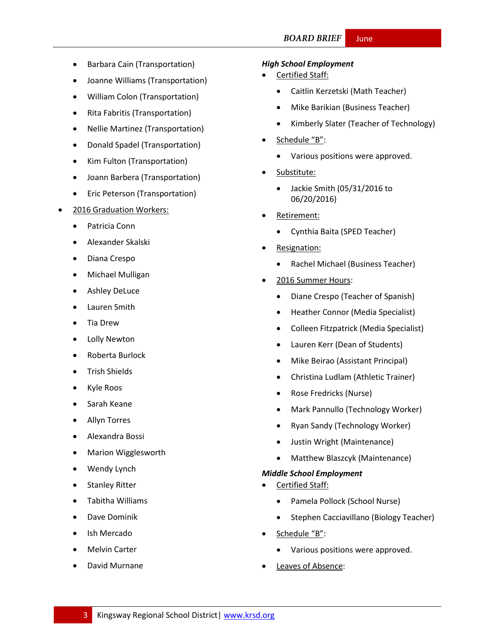#### **BOARD BRIEF** June

- Barbara Cain (Transportation)
- Joanne Williams (Transportation)
- William Colon (Transportation)
- Rita Fabritis (Transportation)
- Nellie Martinez (Transportation)
- Donald Spadel (Transportation)
- Kim Fulton (Transportation)
- Joann Barbera (Transportation)
- Eric Peterson (Transportation)
- 2016 Graduation Workers:
	- Patricia Conn
	- Alexander Skalski
	- Diana Crespo
	- Michael Mulligan
	- Ashley DeLuce
	- Lauren Smith
	- Tia Drew
	- Lolly Newton
	- Roberta Burlock
	- Trish Shields
	- Kyle Roos
	- Sarah Keane
	- Allyn Torres
	- Alexandra Bossi
	- Marion Wigglesworth
	- Wendy Lynch
	- Stanley Ritter
	- Tabitha Williams
	- Dave Dominik
	- Ish Mercado
	- Melvin Carter
	- David Murnane

### *High School Employment*

- Certified Staff:
	- Caitlin Kerzetski (Math Teacher)
	- Mike Barikian (Business Teacher)
	- Kimberly Slater (Teacher of Technology)
- Schedule "B":
	- Various positions were approved.
- Substitute:
	- Jackie Smith (05/31/2016 to 06/20/2016)
- Retirement:
	- Cynthia Baita (SPED Teacher)
- Resignation:
	- Rachel Michael (Business Teacher)
- 2016 Summer Hours:
	- Diane Crespo (Teacher of Spanish)
	- Heather Connor (Media Specialist)
	- Colleen Fitzpatrick (Media Specialist)
	- Lauren Kerr (Dean of Students)
	- Mike Beirao (Assistant Principal)
	- Christina Ludlam (Athletic Trainer)
	- Rose Fredricks (Nurse)
	- Mark Pannullo (Technology Worker)
	- Ryan Sandy (Technology Worker)
	- Justin Wright (Maintenance)
	- Matthew Blaszcyk (Maintenance)

### *Middle School Employment*

- Certified Staff:
	- Pamela Pollock (School Nurse)
	- Stephen Cacciavillano (Biology Teacher)
- Schedule "B":
	- Various positions were approved.
- Leaves of Absence: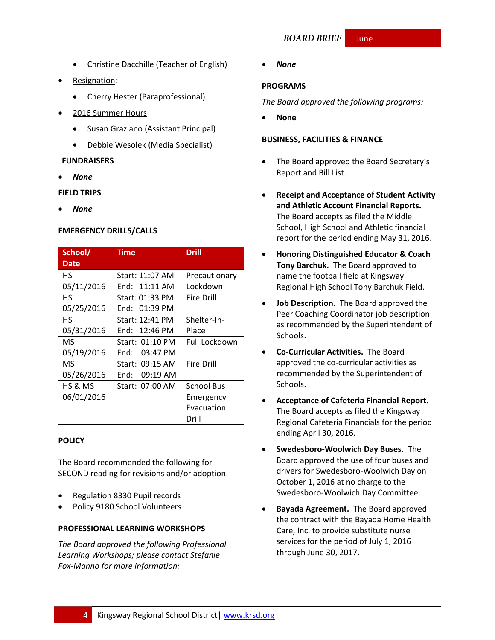- Christine Dacchille (Teacher of English)
- Resignation:
	- Cherry Hester (Paraprofessional)
- 2016 Summer Hours:
	- Susan Graziano (Assistant Principal)
	- Debbie Wesolek (Media Specialist)

### **FUNDRAISERS**

*None* 

**FIELD TRIPS**

*None*

### **EMERGENCY DRILLS/CALLS**

| School/<br>Date | Time             | <b>Drill</b>      |
|-----------------|------------------|-------------------|
| НS              | Start: 11:07 AM  | Precautionary     |
| 05/11/2016      | End: 11:11 AM    | Lockdown          |
| HS              | Start: 01:33 PM  | Fire Drill        |
| 05/25/2016      | End: 01:39 PM    |                   |
| НS              | Start: 12:41 PM  | Shelter-In-       |
| 05/31/2016      | End: 12:46 PM    | Place             |
| MS              | Start: 01:10 PM  | Full Lockdown     |
| 05/19/2016      | End: 03:47 PM    |                   |
| MS              | Start: 09:15 AM  | <b>Fire Drill</b> |
| 05/26/2016      | End:<br>09:19 AM |                   |
| HS & MS         | Start: 07:00 AM  | School Bus        |
| 06/01/2016      |                  | Emergency         |
|                 |                  | Evacuation        |
|                 |                  | Drill             |

### **[POLICY](http://www.straussesmay.com/seportal/Public/DistrictPolicyTOC.aspx?id=f0cc945ef3894b8d9ad5f87d948ca425&PolicyID=)**

The Board recommended the following for SECOND reading for revisions and/or adoption.

- Regulation 8330 Pupil records
- Policy 9180 School Volunteers

### **PROFESSIONAL LEARNING WORKSHOPS**

*The Board approved the following Professional Learning Workshops; please contact Stefanie Fox-Manno for more information:*

*None*

### **PROGRAMS**

*The Board approved the following programs:*

**None**

### **BUSINESS, FACILITIES & FINANCE**

- The Board approved the Board Secretary's Report and Bill List.
- **Receipt and Acceptance of Student Activity and Athletic Account Financial Reports.** The Board accepts as filed the Middle School, High School and Athletic financial report for the period ending May 31, 2016.
- **Honoring Distinguished Educator & Coach Tony Barchuk.** The Board approved to name the football field at Kingsway Regional High School Tony Barchuk Field.
- **Job Description.** The Board approved the Peer Coaching Coordinator job description as recommended by the Superintendent of Schools.
- **Co-Curricular Activities.** The Board approved the co-curricular activities as recommended by the Superintendent of Schools.
- **Acceptance of Cafeteria Financial Report.**  The Board accepts as filed the Kingsway Regional Cafeteria Financials for the period ending April 30, 2016.
- **Swedesboro-Woolwich Day Buses.** The Board approved the use of four buses and drivers for Swedesboro-Woolwich Day on October 1, 2016 at no charge to the Swedesboro-Woolwich Day Committee.
- **Bayada Agreement.** The Board approved the contract with the Bayada Home Health Care, Inc. to provide substitute nurse services for the period of July 1, 2016 through June 30, 2017.